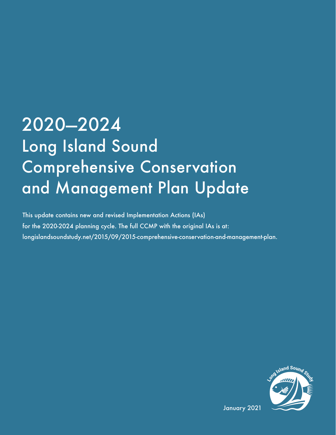## 2020—2024 Long Island Sound Comprehensive Conservation and Management Plan Update

This update contains new and revised Implementation Actions (IAs) for the 2020-2024 planning cycle. The full CCMP with the original IAs is at: longislandsoundstudy.net/2015/09/2015-comprehensive-conservation-and-management-plan.



January 2021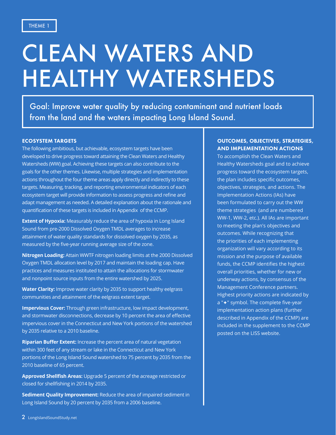## CLEAN WATERS AND HEALTHY WATERSHEDS

Goal: Improve water quality by reducing contaminant and nutrient loads from the land and the waters impacting Long Island Sound.

#### ECOSYSTEM TARGETS

The following ambitious, but achievable, ecosystem targets have been developed to drive progress toward attaining the Clean Waters and Healthy Watersheds (WW) goal. Achieving these targets can also contribute to the goals for the other themes. Likewise, multiple strategies and implementation actions throughout the four theme areas apply directly and indirectly to these targets. Measuring, tracking, and reporting environmental indicators of each ecosystem target will provide information to assess progress and refine and adapt management as needed. A detailed explanation about the rationale and quantification of these targets is included in Appendix of the CCMP.

**Extent of Hypoxia:** Measurably reduce the area of hypoxia in Long Island Sound from pre-2000 Dissolved Oxygen TMDL averages to increase attainment of water quality standards for dissolved oxygen by 2035, as measured by the five-year running average size of the zone.

**Nitrogen Loading:** Attain WWTF nitrogen loading limits at the 2000 Dissolved Oxygen TMDL allocation level by 2017 and maintain the loading cap. Have practices and measures instituted to attain the allocations for stormwater and nonpoint source inputs from the entire watershed by 2025.

**Water Clarity:** Improve water clarity by 2035 to support healthy eelgrass communities and attainment of the eelgrass extent target.

**Impervious Cover:** Through green infrastructure, low impact development, and stormwater disconnections, decrease by 10 percent the area of effective impervious cover in the Connecticut and New York portions of the watershed by 2035 relative to a 2010 baseline.

**Riparian Buffer Extent:** Increase the percent area of natural vegetation within 300 feet of any stream or lake in the Connecticut and New York portions of the Long Island Sound watershed to 75 percent by 2035 from the 2010 baseline of 65 percent.

**Approved Shellfish Areas:** Upgrade 5 percent of the acreage restricted or closed for shellfishing in 2014 by 2035.

**Sediment Quality Improvement:** Reduce the area of impaired sediment in Long Island Sound by 20 percent by 2035 from a 2006 baseline.

#### OUTCOMES, OBJECTIVES, STRATEGIES, AND IMPLEMENTATION ACTIONS

To accomplish the Clean Waters and Healthy Watersheds goal and to achieve progress toward the ecosystem targets, the plan includes specific outcomes, objectives, strategies, and actions. The Implementation Actions (IAs) have been formulated to carry out the WW theme strategies (and are numbered WW-1, WW-2, etc.). All IAs are important to meeting the plan's objectives and outcomes. While recognizing that the priorities of each implementing organization will vary according to its mission and the purpose of available funds, the CCMP identifies the highest overall priorities, whether for new or underway actions, by consensus of the Management Conference partners. Highest priority actions are indicated by a "<sup>+</sup>" symbol. The complete five-year implementation action plans (further described in Appendix of the CCMP) are included in the supplement to the CCMP posted on the LISS website.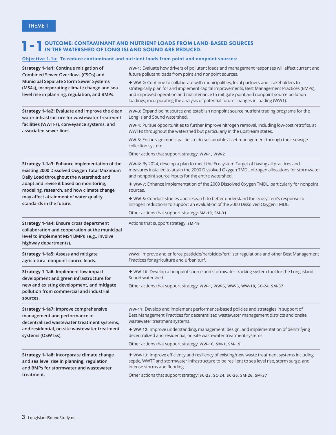### **1** - 1 OUTCOME: CONTAMINANT AND NUTRIENT LOADS FROM LAND-BASED SOURCES<br> **1** - 1 IN THE WATERSHED OF LONG ISLAND SOUND ARE REDUCED.

#### **Objective 1-1a: To reduce contaminant and nutrient loads from point and nonpoint sources:**

| Strategy 1-1a1: Continue mitigation of                                                                                                                           | WW-1: Evaluate how drivers of pollutant loads and management responses will affect current and                                                                                                                                                                                                                                                                          |
|------------------------------------------------------------------------------------------------------------------------------------------------------------------|-------------------------------------------------------------------------------------------------------------------------------------------------------------------------------------------------------------------------------------------------------------------------------------------------------------------------------------------------------------------------|
| Combined Sewer Overflows (CSOs) and                                                                                                                              | future pollutant loads from point and nonpoint sources.                                                                                                                                                                                                                                                                                                                 |
| Municipal Separate Storm Sewer Systems<br>(MS4s), incorporating climate change and sea<br>level rise in planning, regulation, and BMPs.                          | ♦ WW-2: Continue to collaborate with municipalities, local partners and stakeholders to<br>strategically plan for and implement capital improvements, Best Management Practices (BMPs),<br>and improved operation and maintenance to mitigate point and nonpoint source pollution<br>loadings, incorporating the analysis of potential future changes in loading (WW1). |
| Strategy 1-1a2: Evaluate and improve the clean                                                                                                                   | WW-3: Expand point source and establish nonpoint source nutrient trading programs for the                                                                                                                                                                                                                                                                               |
| water infrastructure for wastewater treatment                                                                                                                    | Long Island Sound watershed.                                                                                                                                                                                                                                                                                                                                            |
| facilities (WWTFs), conveyance systems, and                                                                                                                      | WW-4: Pursue opportunities to further improve nitrogen removal, including low-cost retrofits, at                                                                                                                                                                                                                                                                        |
| associated sewer lines.                                                                                                                                          | WWTFs throughout the watershed but particularly in the upstream states.                                                                                                                                                                                                                                                                                                 |
|                                                                                                                                                                  | WW-5: Encourage municipalities to do sustainable asset management through their sewage<br>collection system.                                                                                                                                                                                                                                                            |
|                                                                                                                                                                  | Other actions that support strategy: WW-1, WW-2                                                                                                                                                                                                                                                                                                                         |
| Strategy 1-1a3: Enhance implementation of the                                                                                                                    | WW-6: By 2024, develop a plan to meet the Ecosystem Target of having all practices and                                                                                                                                                                                                                                                                                  |
| existing 2000 Dissolved Oxygen Total Maximum                                                                                                                     | measures installed to attain the 2000 Dissolved Oxygen TMDL nitrogen allocations for stormwater                                                                                                                                                                                                                                                                         |
| Daily Load throughout the watershed; and                                                                                                                         | and nonpoint source inputs for the entire watershed.                                                                                                                                                                                                                                                                                                                    |
| adapt and revise it based on monitoring,                                                                                                                         | ◆ WW-7: Enhance implementation of the 2000 Dissolved Oxygen TMDL, particularly for nonpoint                                                                                                                                                                                                                                                                             |
| modeling, research, and how climate change                                                                                                                       | sources.                                                                                                                                                                                                                                                                                                                                                                |
| may affect attainment of water quality                                                                                                                           | ♦ WW-8: Conduct studies and research to better understand the ecosystem's response to                                                                                                                                                                                                                                                                                   |
| standards in the future.                                                                                                                                         | nitrogen reductions to support an evaluation of the 2000 Dissolved Oxygen TMDL.                                                                                                                                                                                                                                                                                         |
|                                                                                                                                                                  | Other actions that support strategy: SM-19, SM-31                                                                                                                                                                                                                                                                                                                       |
| Strategy 1-1a4: Ensure cross department<br>collaboration and cooperation at the municipal<br>level to implement MS4 BMPs (e.g., involve<br>highway departments). | Actions that support strategy: SM-19                                                                                                                                                                                                                                                                                                                                    |
| <b>Strategy 1-1a5: Assess and mitigate</b>                                                                                                                       | WW-9: Improve and enforce pesticide/herbicide/fertilizer regulations and other Best Management                                                                                                                                                                                                                                                                          |
| agricultural nonpoint source loads.                                                                                                                              | Practices for agriculture and urban turf.                                                                                                                                                                                                                                                                                                                               |
| Strategy 1-1a6: Implement low impact                                                                                                                             | ◆ WW-10: Develop a nonpoint source and stormwater tracking system tool for the Long Island                                                                                                                                                                                                                                                                              |
| development and green infrastructure for                                                                                                                         | Sound watershed.                                                                                                                                                                                                                                                                                                                                                        |
| new and existing development, and mitigate<br>pollution from commercial and industrial<br>sources.                                                               | Other actions that support strategy: WW-1, WW-5, WW-6, WW-18, SC-24, SM-37                                                                                                                                                                                                                                                                                              |
| Strategy 1-1a7: Improve comprehensive                                                                                                                            | WW-11: Develop and implement performance-based policies and strategies in support of                                                                                                                                                                                                                                                                                    |
| management and performance of                                                                                                                                    | Best Management Practices for decentralized wastewater management districts and onsite                                                                                                                                                                                                                                                                                  |
| decentralized wastewater treatment systems,                                                                                                                      | wastewater treatment systems.                                                                                                                                                                                                                                                                                                                                           |
| and residential, on-site wastewater treatment<br>systems (OSWTSs).                                                                                               | ◆ WW-12: Improve understanding, management, design, and implementation of denitrifying<br>decentralized and residential, on-site wastewater treatment systems.                                                                                                                                                                                                          |
|                                                                                                                                                                  | Other actions that support strategy: WW-10, SM-1, SM-19                                                                                                                                                                                                                                                                                                                 |
| Strategy 1-1a8: Incorporate climate change                                                                                                                       | ◆ WW-13: Improve efficiency and resiliency of existing/new waste treatment systems including                                                                                                                                                                                                                                                                            |
| and sea level rise in planning, regulation,                                                                                                                      | septic, WWTF and stormwater infrastructure to be resilient to sea level rise, storm surge, and                                                                                                                                                                                                                                                                          |
| and BMPs for stormwater and wastewater                                                                                                                           | intense storms and flooding                                                                                                                                                                                                                                                                                                                                             |
| treatment.                                                                                                                                                       | Other actions that support strategy: SC-23, SC-24, SC-26, SM-26, SM-37                                                                                                                                                                                                                                                                                                  |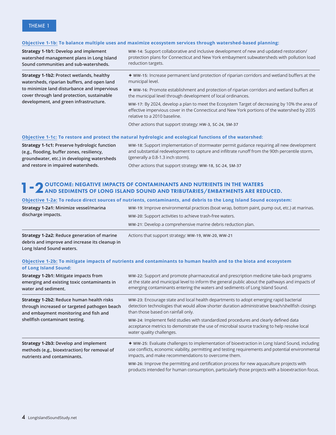#### **Objective 1-1b: To balance multiple uses and maximize ecosystem services through watershed-based planning:**

**Strategy 1-1b1: Develop and implement watershed management plans in Long Island Sound communities and sub-watersheds.**

**Strategy 1-1b2: Protect wetlands, healthy watersheds, riparian buffers, and open land to minimize land disturbance and impervious cover through land protection, sustainable development, and green infrastructure.**

**WW-14:** Support collaborative and inclusive development of new and updated restoration/ protection plans for Connecticut and New York embayment subwatersheds with pollution load reduction targets.

è **WW-15:** Increase permanent land protection of riparian corridors and wetland buffers at the municipal level.

è **WW-16:** Promote establishment and protection of riparian corridors and wetland buffers at the municipal level through development of local ordinances.

**WW-17:** By 2024, develop a plan to meet the Ecosystem Target of decreasing by 10% the area of effective impervious cover in the Connecticut and New York portions of the watershed by 2035 relative to a 2010 baseline.

Other actions that support strategy: **HW-3, SC-24, SM-37**

#### **Objective 1-1c: To restore and protect the natural hydrologic and ecological functions of the watershed:**

**Strategy 1-1c1: Preserve hydrologic function (e.g., flooding, buffer zones, resiliency, groundwater, etc.) in developing watersheds and restore in impaired watersheds.**

**WW-18**: Support implementation of stormwater permit guidance requiring all new development and substantial redevelopment to capture and infiltrate runoff from the 90th percentile storm, (generally a 0.8-1.3 inch storm).

Other actions that support strategy: **WW-18, SC-24, SM-37** 

### **1 - 2** OUTCOME: NEGATIVE IMPACTS OF CONTAMINANTS AND NUTRIENTS IN THE WATERS AND SEDIMENTS OF LONG ISLAND SOUND AND TRIBUTARIES/EMBAYMENTS ARE REDUCED.

#### **Objective 1-2a: To reduce direct sources of nutrients, contaminants, and debris to the Long Island Sound ecosystem:**

| <b>Strategy 1-2a2: Reduce generation of marine</b> | Actions that support strategy: WW-19, WW-20, WW-21                                           |
|----------------------------------------------------|----------------------------------------------------------------------------------------------|
|                                                    | WW-21: Develop a comprehensive marine debris reduction plan.                                 |
| discharge impacts.                                 | WW-20: Support activities to achieve trash-free waters.                                      |
| Strategy 1-2a1: Minimize vessel/marina             | WW-19: Improve environmental practices (boat wrap, bottom paint, pump out, etc.) at marinas. |

**debris and improve and increase its cleanup in Long Island Sound waters.**

#### **Objective 1-2b: To mitigate impacts of nutrients and contaminants to human health and to the biota and ecosystem of Long Island Sound:**

| <b>Strategy 1-2b1: Mitigate impacts from</b><br>emerging and existing toxic contaminants in<br>water and sediment.                                                   | WW-22: Support and promote pharmaceutical and prescription medicine take-back programs<br>at the state and municipal level to inform the general public about the pathways and impacts of<br>emerging contaminants entering the waters and sediments of Long Island Sound. |
|----------------------------------------------------------------------------------------------------------------------------------------------------------------------|----------------------------------------------------------------------------------------------------------------------------------------------------------------------------------------------------------------------------------------------------------------------------|
| Strategy 1-2b2: Reduce human health risks<br>through increased or targeted pathogen beach<br>and embayment monitoring and fish and<br>shellfish contaminant testing. | WW-23: Encourage state and local health departments to adopt emerging rapid bacterial<br>detection technologies that would allow shorter duration administrative beach/shellfish closings<br>than those based on rainfall only.                                            |
|                                                                                                                                                                      | WW-24: Implement field studies with standardized procedures and clearly defined data<br>acceptance metrics to demonstrate the use of microbial source tracking to help resolve local<br>water quality challenges.                                                          |
| Strategy 1-2b3: Develop and implement<br>methods (e.g., bioextraction) for removal of<br>nutrients and contaminants.                                                 | ♦ WW-25: Evaluate challenges to implementation of bioextraction in Long Island Sound, including<br>use conflicts, economic viability, permitting and testing requirements and potential environmental<br>impacts, and make recommendations to overcome them.               |
|                                                                                                                                                                      | WW-26: Improve the permitting and certification process for new aquaculture projects with<br>products intended for human consumption, particularly those projects with a bioextraction focus.                                                                              |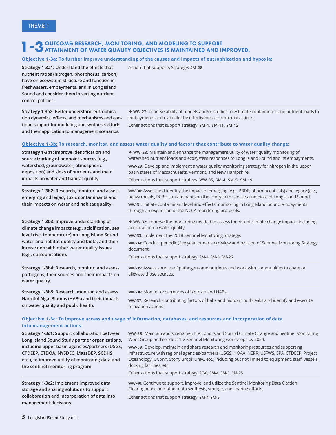### **1-3** OUTCOME: RESEARCH, MONITORING, AND MODELING TO SUPPORT<br>**ATTAINMENT OF WATER QUALITY OBJECTIVES IS MAINTAINED AND IMPROVED.**

#### **Objective 1-3a: To further improve understanding of the causes and impacts of eutrophication and hypoxia:**

**Strategy 1-3a1: Understand the effects that nutrient ratios (nitrogen, phosphorus, carbon) have on ecosystem structure and function in freshwaters, embayments, and in Long Island Sound and consider them in setting nutrient control policies.**

**Strategy 1-3a2: Better understand eutrophication dynamics, effects, and mechanisms and continue support for modeling and synthesis efforts and their application to management scenarios.**

Action that supports Strategy: **SM-28**

è **WW-27:** Improve ability of models and/or studies to estimate contaminant and nutrient loads to embayments and evaluate the effectiveness of remedial actions.

Other actions that support strategy: **SM-1, SM-11, SM-12**

#### **Objective 1-3b: To research, monitor, and assess water quality and factors that contribute to water quality change:**

| Strategy 1-3b1: Improve identification and<br>source tracking of nonpoint sources (e.g.,<br>watershed, groundwater, atmospheric<br>deposition) and sinks of nutrients and their<br>impacts on water and habitat quality.                                                            | $\triangle$ WW-28: Maintain and enhance the management utility of water quality monitoring of<br>watershed nutrient loads and ecosystem responses to Long Island Sound and its embayments.<br>WW-29: Develop and implement a water quality monitoring strategy for nitrogen in the upper<br>basin states of Massachusetts, Vermont, and New Hampshire.<br>Other actions that support strategy: WW-35, SM-4, SM-5, SM-19                                                                                                                                     |
|-------------------------------------------------------------------------------------------------------------------------------------------------------------------------------------------------------------------------------------------------------------------------------------|-------------------------------------------------------------------------------------------------------------------------------------------------------------------------------------------------------------------------------------------------------------------------------------------------------------------------------------------------------------------------------------------------------------------------------------------------------------------------------------------------------------------------------------------------------------|
| Strategy 1-3b2: Research, monitor, and assess<br>emerging and legacy toxic contaminants and<br>their impacts on water and habitat quality.                                                                                                                                          | ww-30: Assess and identify the impact of emerging (e.g., PBDE, pharmaceuticals) and legacy (e.g.,<br>heavy metals, PCBs) contaminants on the ecosystem services and biota of Long Island Sound.<br>WW-31: Initiate contaminant level and effects monitoring in Long Island Sound embayments<br>through an expansion of the NCCA monitoring protocols.                                                                                                                                                                                                       |
| Strategy 1-3b3: Improve understanding of<br>climate change impacts (e.g., acidification, sea<br>level rise, temperature) on Long Island Sound<br>water and habitat quality and biota, and their<br>interaction with other water quality issues<br>(e.g., eutrophication).           | ◆ WW-32: Improve the monitoring needed to assess the risk of climate change impacts including<br>acidification on water quality.<br>WW-33: Implement the 2018 Sentinel Monitoring Strategy.<br>WW-34: Conduct periodic (five year, or earlier) review and revision of Sentinel Monitoring Strategy<br>document.<br>Other actions that support strategy: SM-4, SM-5, SM-26                                                                                                                                                                                   |
| Strategy 1-3b4: Research, monitor, and assess<br>pathogens, their sources and their impacts on<br>water quality.                                                                                                                                                                    | WW-35: Assess sources of pathogens and nutrients and work with communities to abate or<br>alleviate those sources.                                                                                                                                                                                                                                                                                                                                                                                                                                          |
| Strategy 1-3b5: Research, monitor, and assess<br>Harmful Algal Blooms (HABs) and their impacts<br>on water quality and public health.                                                                                                                                               | WW-36: Monitor occurrences of biotoxin and HABs.<br>WW-37: Research contributing factors of habs and biotoxin outbreaks and identify and execute<br>mitigation actions.                                                                                                                                                                                                                                                                                                                                                                                     |
| into management actions:                                                                                                                                                                                                                                                            | Objective 1-3c: To improve access and usage of information, databases, and resources and incorporation of data                                                                                                                                                                                                                                                                                                                                                                                                                                              |
| Strategy 1-3c1: Support collaboration between<br>Long Island Sound Study partner organizations,<br>including upper basin agencies/partners (USGS,<br>CTDEEP, CTDOA, NYSDEC, MassDEP, SCDHS,<br>etc.), to improve utility of monitoring data and<br>the sentinel monitoring program. | WW-38: Maintain and strengthen the Long Island Sound Climate Change and Sentinel Monitoring<br>Work Group and conduct 1-2 Sentinel Monitoring workshops by 2024.<br>WW-39: Develop, maintain and share research and monitoring resources and supporting<br>infrastructure with regional agencies/partners (USGS, NOAA, NERR, USFWS, EPA, CTDEEP, Project<br>Oceanology, UConn, Stony Brook Univ., etc.) including but not limited to equipment, staff, vessels,<br>docking facilities, etc.<br>Other actions that support strategy: SC-8, SM-4, SM-5, SM-25 |
| Strategy 1-3c2: Implement improved data<br>storage and sharing solutions to support<br>collaboration and incorporation of data into<br>management decisions.                                                                                                                        | WW-40: Continue to support, improve, and utilize the Sentinel Monitoring Data Citation<br>Clearinghouse and other data synthesis, storage, and sharing efforts.<br>Other actions that support strategy: SM-4, SM-5                                                                                                                                                                                                                                                                                                                                          |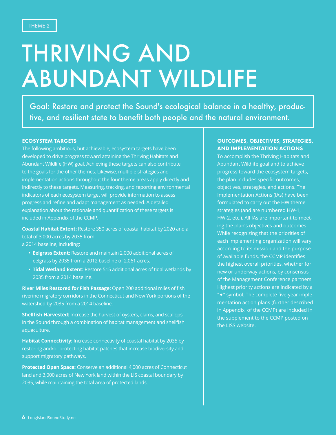## THRIVING AND ABUNDANT WILDLIFE

Goal: Restore and protect the Sound's ecological balance in a healthy, productive, and resilient state to benefit both people and the natural environment.

#### ECOSYSTEM TARGETS

The following ambitious, but achievable, ecosystem targets have been developed to drive progress toward attaining the Thriving Habitats and Abundant Wildlife (HW) goal. Achieving these targets can also contribute to the goals for the other themes. Likewise, multiple strategies and implementation actions throughout the four theme areas apply directly and indirectly to these targets. Measuring, tracking, and reporting environmental indicators of each ecosystem target will provide information to assess progress and refine and adapt management as needed. A detailed explanation about the rationale and quantification of these targets is included in Appendix of the CCMP.

**Coastal Habitat Extent:** Restore 350 acres of coastal habitat by 2020 and a total of 3,000 acres by 2035 from a 2014 baseline, including:

- **Eelgrass Extent:** Restore and maintain 2,000 additional acres of eelgrass by 2035 from a 2012 baseline of 2,061 acres.
- **Tidal Wetland Extent:** Restore 515 additional acres of tidal wetlands by 2035 from a 2014 baseline.

**River Miles Restored for Fish Passage:** Open 200 additional miles of fish riverine migratory corridors in the Connecticut and New York portions of the watershed by 2035 from a 2014 baseline.

**Shellfish Harvested:** Increase the harvest of oysters, clams, and scallops in the Sound through a combination of habitat management and shellfish aquaculture.

**Habitat Connectivity:** Increase connectivity of coastal habitat by 2035 by restoring and/or protecting habitat patches that increase biodiversity and support migratory pathways.

**Protected Open Space:** Conserve an additional 4,000 acres of Connecticut land and 3,000 acres of New York land within the LIS coastal boundary by 2035, while maintaining the total area of protected lands.

#### OUTCOMES, OBJECTIVES, STRATEGIES, AND IMPLEMENTATION ACTIONS

To accomplish the Thriving Habitats and Abundant Wildlife goal and to achieve progress toward the ecosystem targets, the plan includes specific outcomes, objectives, strategies, and actions. The Implementation Actions (IAs) have been formulated to carry out the HW theme strategies (and are numbered HW-1, HW-2, etc.). All IAs are important to meeting the plan's objectives and outcomes. While recognizing that the priorities of each implementing organization will vary according to its mission and the purpose of available funds, the CCMP identifies the highest overall priorities, whether for new or underway actions, by consensus of the Management Conference partners. Highest priority actions are indicated by a "<sup>\*</sup> symbol. The complete five-year implementation action plans (further described in Appendix of the CCMP) are included in the supplement to the CCMP posted on the LISS website.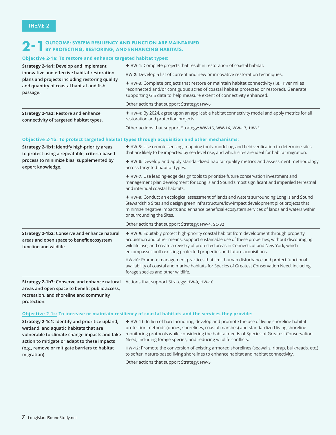### 2-1OUTCOME: SYSTEM RESILIENCY AND FUNCTION ARE MAINTAINED BY PROTECTING, RESTORING, AND ENHANCING HABITATS.

#### **Objective 2-1a: To restore and enhance targeted habitat types:**

| <b>Strategy 2-1a1: Develop and implement</b><br>innovative and effective habitat restoration<br>plans and projects including restoring quality<br>and quantity of coastal habitat and fish<br>passage.            | ◆ HW-1: Complete projects that result in restoration of coastal habitat.                                                                                                                                                                                                                                                                                            |
|-------------------------------------------------------------------------------------------------------------------------------------------------------------------------------------------------------------------|---------------------------------------------------------------------------------------------------------------------------------------------------------------------------------------------------------------------------------------------------------------------------------------------------------------------------------------------------------------------|
|                                                                                                                                                                                                                   | HW-2: Develop a list of current and new or innovative restoration techniques.                                                                                                                                                                                                                                                                                       |
|                                                                                                                                                                                                                   | ♦ HW-3: Complete projects that restore or maintain habitat connectivity (i.e., river miles<br>reconnected and/or contiguous acres of coastal habitat protected or restored). Generate<br>supporting GIS data to help measure extent of connectivity enhanced.                                                                                                       |
|                                                                                                                                                                                                                   | Other actions that support Strategy: HW-6                                                                                                                                                                                                                                                                                                                           |
| Strategy 2-1a2: Restore and enhance<br>connectivity of targeted habitat types.                                                                                                                                    | + HW-4: By 2024, agree upon an applicable habitat connectivity model and apply metrics for all<br>restoration and protection projects.                                                                                                                                                                                                                              |
|                                                                                                                                                                                                                   | Other actions that support Strategy: WW-15, WW-16, WW-17, HW-3                                                                                                                                                                                                                                                                                                      |
|                                                                                                                                                                                                                   | Objective 2-1b: To protect targeted habitat types through acquisition and other mechanisms:                                                                                                                                                                                                                                                                         |
| Strategy 2-1b1: Identify high-priority areas<br>to protect using a repeatable, criteria-based                                                                                                                     | ◆ HW-5: Use remote sensing, mapping tools, modeling, and field verification to determine sites<br>that are likely to be impacted by sea level rise, and which sites are ideal for habitat migration.                                                                                                                                                                |
| process to minimize bias, supplemented by<br>expert knowledge.                                                                                                                                                    | ◆ HW-6: Develop and apply standardized habitat quality metrics and assessment methodology<br>across targeted habitat types.                                                                                                                                                                                                                                         |
|                                                                                                                                                                                                                   | + HW-7: Use leading-edge design tools to prioritize future conservation investment and<br>management plan development for Long Island Sound's most significant and imperiled terrestrial<br>and intertidal coastal habitats.                                                                                                                                        |
|                                                                                                                                                                                                                   | ♦ HW-8: Conduct an ecological assessment of lands and waters surrounding Long Island Sound<br>Stewardship Sites and design green infrastructure/low-impact development pilot projects that<br>minimize negative impacts and enhance beneficial ecosystem services of lands and waters within<br>or surrounding the Sites.                                           |
|                                                                                                                                                                                                                   | Other actions that support Strategy: HW-4, SC-32                                                                                                                                                                                                                                                                                                                    |
| Strategy 2-1b2: Conserve and enhance natural<br>areas and open space to benefit ecosystem<br>function and wildlife.                                                                                               | + HW-9: Equitably protect high-priority coastal habitat from development through property<br>acquisition and other means, support sustainable use of these properties, without discouraging<br>wildlife use, and create a registry of protected areas in Connecticut and New York, which<br>encompasses both existing protected properties and future acquisitions. |
|                                                                                                                                                                                                                   | HW-10: Promote management practices that limit human disturbance and protect functional<br>availability of coastal and marine habitats for Species of Greatest Conservation Need, including<br>forage species and other wildlife.                                                                                                                                   |
| Strategy 2-1b3: Conserve and enhance natural<br>areas and open space to benefit public access,<br>the contract of the contract of the contract of the contract of the contract of the contract of the contract of | Actions that support Strategy: HW-9, HW-10                                                                                                                                                                                                                                                                                                                          |

**recreation, and shoreline and community protection.**

#### **Objective 2-1c: To increase or maintain resiliency of coastal habitats and the services they provide:**

**Strategy 2-1c1: Identify and prioritize upland, wetland, and aquatic habitats that are vulnerable to climate change impacts and take action to mitigate or adapt to these impacts (e.g., remove or mitigate barriers to habitat migration).**

è **HW-11:** In lieu of hard armoring, develop and promote the use of living shoreline habitat protection methods (dunes, shorelines, coastal marshes) and standardized living shoreline monitoring protocols while considering the habitat needs of Species of Greatest Conservation Need, including forage species, and reducing wildlife conflicts.

**HW-12:** Promote the conversion of existing armored shorelines (seawalls, riprap, bulkheads, etc.) to softer, nature-based living shorelines to enhance habitat and habitat connectivity.

Other actions that support Strategy**: HW-5**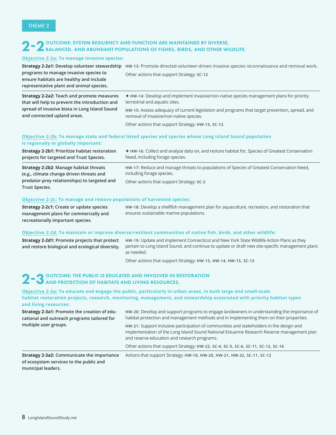### 2 – 2 OUTCOME: SYSTEM RESILIENCY AND FUNCTION ARE MAINTAINED BY DIVERSE,<br>BALANCED, AND ABUNDANT POPULATIONS OF FISHES, BIRDS, AND OTHER WILDLIFE.

#### **Objective 2-2a: To manage invasive species:**

**predator-prey relationships) to targeted and** 

| Strategy 2-2a1: Develop volunteer stewardship<br>programs to manage invasive species to<br>ensure habitats are healthy and include<br>representative plant and animal species. | HW-13: Promote directed volunteer-driven invasive species reconnaissance and removal work.<br>Other actions that support Strategy: SC-12  |
|--------------------------------------------------------------------------------------------------------------------------------------------------------------------------------|-------------------------------------------------------------------------------------------------------------------------------------------|
| Strategy 2-2a2: Teach and promote measures<br>that will help to prevent the introduction and                                                                                   | <b>★ HW-14:</b> Develop and implement invasive/non-native species management plans for priority<br>terrestrial and aquatic sites.         |
| spread of invasive biota in Long Island Sound<br>and connected upland areas.                                                                                                   | HW-15: Assess adequacy of current legislation and programs that target prevention, spread, and<br>removal of invasive/non-native species. |
|                                                                                                                                                                                | Other actions that support Strategy: HW-13, SC-12                                                                                         |
| is regionally or globally important:                                                                                                                                           | Objective 2-2b: To manage state and federal listed species and species whose Long Island Sound population                                 |
| Strategy 2-2b1: Prioritize habitat restoration<br>projects for targeted and Trust Species.                                                                                     | ◆ HW-16: Collect and analyze data on, and restore habitat for, Species of Greatest Conservation<br>Need, including forage species.        |
| Strategy 2-2b2: Manage habitat threats<br>(e.g., climate change driven threats and                                                                                             | HW-17: Reduce and manage threats to populations of Species of Greatest Conservation Need,<br>including forage species.                    |

**Trust Species.**

#### **Objective 2-2c: To manage and restore populations of harvested species:**

**Strategy 2-2c1: Create or update species management plans for commercially and recreationally important species. HW-18:** Develop a shellfish management plan for aquaculture, recreation, and restoration that ensures sustainable marine populations.

Other actions that support Strategy**: SC-2**

#### **Objective 2-2d: To maintain or improve diverse/resilient communities of native fish, birds, and other wildlife:**

| <b>Strategy 2-2d1: Promote projects that protect</b><br>and restore biological and ecological diversity. | HW-19: Update and implement Connecticut and New York State Wildlife Action Plans as they<br>pertain to Long Island Sound, and continue to update or draft new site-specific management plans<br>as needed. |
|----------------------------------------------------------------------------------------------------------|------------------------------------------------------------------------------------------------------------------------------------------------------------------------------------------------------------|
|                                                                                                          | Other actions that support Strategy: HW-13, HW-14, HW-15, SC-12                                                                                                                                            |

### 2 - 3 OUTCOME: THE PUBLIC IS EDUCATED AND INVOLVED IN RESTORATION<br>2 - 3 AND PROTECTION OF HABITATS AND LIVING RESOURCES.

**Objective 2-3a: To educate and engage the public, particularly in urban areas, in both large and small-scale habitat restoration projects, research, monitoring, management, and stewardship associated with priority habitat types and living resources:**

| Strategy 2-3a2: Communicate the importance   | Actions that support Strategy: HW-10, HW-20, HW-21, HW-22, SC-11, SC-12                                                                                                                                                                 |
|----------------------------------------------|-----------------------------------------------------------------------------------------------------------------------------------------------------------------------------------------------------------------------------------------|
|                                              | Other actions that support Strategy: HW-22, SC-4, SC-5, SC-6, SC-11, SC-12, SC-16                                                                                                                                                       |
| multiple user groups.                        | HW-21: Support inclusive participation of communities and stakeholders in the design and<br>implementation of the Long Island Sound National Estuarine Research Reserve management plan<br>and reserve education and research programs. |
| cational and outreach programs tailored for  | habitat protection and management methods and in implementing them on their properties.                                                                                                                                                 |
| Strategy 2-3a1: Promote the creation of edu- | HW-20: Develop and support programs to engage landowners in understanding the importance of                                                                                                                                             |

**of ecosystem services to the public and municipal leaders.**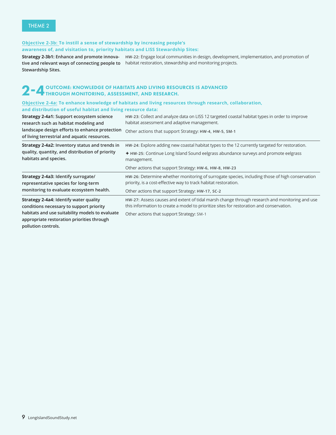#### **Objective 2-3b: To instill a sense of stewardship by increasing people's awareness of, and visitation to, priority habitats and LISS Stewardship Sites:**

**Strategy 2-3b1: Enhance and promote innova-HW-22:** Engage local communities in design, development, implementation, and promotion of **tive and relevant ways of connecting people to**  habitat restoration, stewardship and monitoring projects. **Stewardship Sites.**

### 2 – 4 OUTCOME: KNOWLEDGE OF HABITATS AND LIVING RESOURCES IS ADVANCED<br>2 – 4 THROUGH MONITORING, ASSESSMENT, AND RESEARCH.

#### **Objective 2-4a: To enhance knowledge of habitats and living resources through research, collaboration, and distribution of useful habitat and living resource data:**

| Strategy 2-4a1: Support ecosystem science<br>research such as habitat modeling and                                   | HW-23: Collect and analyze data on LISS 12 targeted coastal habitat types in order to improve<br>habitat assessment and adaptive management.                                              |
|----------------------------------------------------------------------------------------------------------------------|-------------------------------------------------------------------------------------------------------------------------------------------------------------------------------------------|
| landscape design efforts to enhance protection<br>of living terrestrial and aquatic resources.                       | Other actions that support Strategy: HW-4, HW-5, SM-1                                                                                                                                     |
| Strategy 2-4a2: Inventory status and trends in                                                                       | HW-24: Explore adding new coastal habitat types to the 12 currently targeted for restoration.                                                                                             |
| quality, quantity, and distribution of priority<br>habitats and species.                                             | ♦ HW-25: Continue Long Island Sound eelgrass abundance surveys and promote eelgrass<br>management.                                                                                        |
|                                                                                                                      | Other actions that support Strategy: HW-6, HW-8, HW-23                                                                                                                                    |
| Strategy 2-4a3: Identify surrogate/<br>representative species for long-term                                          | HW-26: Determine whether monitoring of surrogate species, including those of high conservation<br>priority, is a cost-effective way to track habitat restoration.                         |
| monitoring to evaluate ecosystem health.                                                                             | Other actions that support Strategy: HW-17, SC-2                                                                                                                                          |
| Strategy 2-4a4: Identify water quality<br>conditions necessary to support priority                                   | HW-27: Assess causes and extent of tidal marsh change through research and monitoring and use<br>this information to create a model to prioritize sites for restoration and conservation. |
| habitats and use suitability models to evaluate<br>appropriate restoration priorities through<br>pollution controls. | Other actions that support Strategy: SM-1                                                                                                                                                 |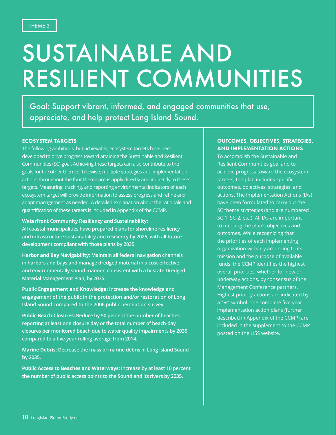## SUSTAINABLE AND RESILIENT COMMUNITIES

Goal: Support vibrant, informed, and engaged communities that use, appreciate, and help protect Long Island Sound.

#### ECOSYSTEM TARGETS

The following ambitious, but achievable, ecosystem targets have been developed to drive progress toward attaining the Sustainable and Resilient Communities (SC) goal. Achieving these targets can also contribute to the goals for the other themes. Likewise, multiple strategies and implementation actions throughout the four theme areas apply directly and indirectly to these targets. Measuring, tracking, and reporting environmental indicators of each ecosystem target will provide information to assess progress and refine and adapt management as needed. A detailed explanation about the rationale and quantification of these targets is included in Appendix of the CCMP.

**Waterfront Community Resiliency and Sustainability:**

**All coastal municipalities have prepared plans for shoreline resiliency and infrastructure sustainability and resiliency by 2025, with all future development compliant with those plans by 2035.**

**Harbor and Bay Navigability: Maintain all federal navigation channels in harbors and bays and manage dredged material in a cost-effective and environmentally sound manner, consistent with a bi-state Dredged Material Management Plan, by 2035.**

**Public Engagement and Knowledge: Increase the knowledge and engagement of the public in the protection and/or restoration of Long Island Sound compared to the 2006 public perception survey.**

**Public Beach Closures: Reduce by 50 percent the number of beaches reporting at least one closure day or the total number of beach-day closures per monitored beach due to water quality impairments by 2035, compared to a five-year rolling average from 2014.**

**Marine Debris: Decrease the mass of marine debris in Long Island Sound by 2035.** 

**Public Access to Beaches and Waterways: Increase by at least 10 percent the number of public access points to the Sound and its rivers by 2035.**

#### OUTCOMES, OBJECTIVES, STRATEGIES, AND IMPLEMENTATION ACTIONS

To accomplish the Sustainable and Resilient Communities goal and to achieve progress toward the ecosystem targets, the plan includes specific outcomes, objectives, strategies, and actions. The Implementation Actions (IAs) have been formulated to carry out the SC theme strategies (and are numbered SC-1, SC-2, etc.). All IAs are important to meeting the plan's objectives and outcomes. While recognizing that the priorities of each implementing organization will vary according to its mission and the purpose of available funds, the CCMP identifies the highest overall priorities, whether for new or underway actions, by consensus of the Management Conference partners. Highest priority actions are indicated by a "<sup>+</sup>" symbol. The complete five-year implementation action plans (further described in Appendix of the CCMP) are included in the supplement to the CCMP posted on the LISS website.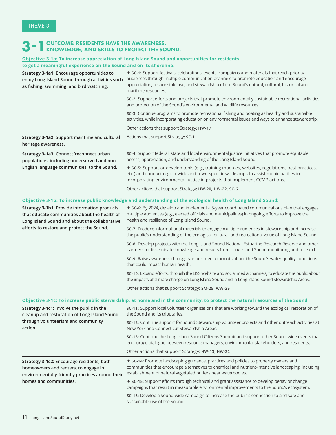### 3 - 1 OUTCOME: RESIDENTS HAVE THE AWARENESS,<br>3 - 1 KNOWLEDGE, AND SKILLS TO PROTECT THE SOUND.

#### **Objective 3-1a: To increase appreciation of Long Island Sound and opportunities for residents to get a meaningful experience on the Sound and on its shoreline:**

| Strategy 3-1a1: Encourage opportunities to<br>enjoy Long Island Sound through activities such<br>as fishing, swimming, and bird watching.                      | ◆ SC-1: Support festivals, celebrations, events, campaigns and materials that reach priority<br>audiences through multiple communication channels to promote education and encourage<br>appreciation, responsible use, and stewardship of the Sound's natural, cultural, historical and<br>maritime resources. |
|----------------------------------------------------------------------------------------------------------------------------------------------------------------|----------------------------------------------------------------------------------------------------------------------------------------------------------------------------------------------------------------------------------------------------------------------------------------------------------------|
|                                                                                                                                                                | sc-2: Support efforts and projects that promote environmentally sustainable recreational activities<br>and protection of the Sound's environmental and wildlife resources.                                                                                                                                     |
|                                                                                                                                                                | SC-3: Continue programs to promote recreational fishing and boating as healthy and sustainable<br>activities, while incorporating education on environmental issues and ways to enhance stewardship.                                                                                                           |
|                                                                                                                                                                | Other actions that support Strategy: HW-17                                                                                                                                                                                                                                                                     |
| Strategy 3-1a2: Support maritime and cultural<br>heritage awareness.                                                                                           | Actions that support Strategy: SC-1                                                                                                                                                                                                                                                                            |
| Strategy 3-1a3: Connect/reconnect urban<br>populations, including underserved and non-                                                                         | SC-4: Support federal, state and local environmental justice initiatives that promote equitable<br>access, appreciation, and understanding of the Long Island Sound.                                                                                                                                           |
| English language communities, to the Sound.                                                                                                                    | + sc-5: Support or develop tools (e.g., training modules, websites, regulations, best practices,<br>etc.) and conduct region-wide and town-specific workshops to assist municipalities in<br>incorporating environmental justice in projects that implement CCMP actions.                                      |
|                                                                                                                                                                | Other actions that support Strategy: HW-20, HW-22, SC-6                                                                                                                                                                                                                                                        |
|                                                                                                                                                                | Objective 3-1b: To increase public knowledge and understanding of the ecological health of Long Island Sound:                                                                                                                                                                                                  |
| <b>Strategy 3-1b1: Provide information products</b><br>that educate communities about the health of<br>Long Island Sound and about the collaborative           | ◆ SC-6: By 2024, develop and implement a 5-year coordinated communications plan that engages<br>multiple audiences (e.g., elected officials and municipalities) in ongoing efforts to improve the<br>health and resilience of Long Island Sound.                                                               |
| efforts to restore and protect the Sound.                                                                                                                      | SC-7: Produce informational materials to engage multiple audiences in stewardship and increase<br>the public's understanding of the ecological, cultural, and recreational value of Long Island Sound.                                                                                                         |
|                                                                                                                                                                | SC-8: Develop projects with the Long Island Sound National Estuarine Research Reserve and other<br>partners to disseminate knowledge and results from Long Island Sound monitoring and research.                                                                                                               |
|                                                                                                                                                                | SC-9: Raise awareness through various media formats about the Sound's water quality conditions<br>that could impact human health.                                                                                                                                                                              |
|                                                                                                                                                                | sc-10: Expand efforts, through the LISS website and social media channels, to educate the public about<br>the impacts of climate change on Long Island Sound and in Long Island Sound Stewardship Areas.                                                                                                       |
|                                                                                                                                                                | Other actions that support Strategy: SM-25, WW-39                                                                                                                                                                                                                                                              |
|                                                                                                                                                                | Objective 3-1c: To increase public stewardship, at home and in the community, to protect the natural resources of the Sound                                                                                                                                                                                    |
| Strategy 3-1c1: Involve the public in the<br>cleanup and restoration of Long Island Sound<br>through volunteerism and community<br>action.                     | SC-11: Support local volunteer organizations that are working toward the ecological restoration of<br>the Sound and its tributaries.                                                                                                                                                                           |
|                                                                                                                                                                | SC-12: Continue support for Sound Stewardship volunteer projects and other outreach activities at<br>New York and Connecticut Stewardship Areas.                                                                                                                                                               |
|                                                                                                                                                                | SC-13: Continue the Long Island Sound Citizens Summit and support other Sound-wide events that<br>encourage dialogue between resource managers, environmental stakeholders, and residents.                                                                                                                     |
|                                                                                                                                                                | Other actions that support Strategy: HW-13, HW-22                                                                                                                                                                                                                                                              |
| Strategy 3-1c2: Encourage residents, both<br>homeowners and renters, to engage in<br>environmentally-friendly practices around their<br>homes and communities. | ◆ SC-14: Promote landscaping guidance, practices and policies to property owners and<br>communities that encourage alternatives to chemical and nutrient-intensive landscaping, including<br>establishment of natural vegetated buffers near waterbodies.                                                      |
|                                                                                                                                                                | SC-15: Support efforts through technical and grant assistance to develop behavior change<br>campaigns that result in measurable environmental improvements to the Sound's ecosystem.                                                                                                                           |
|                                                                                                                                                                | SC-16: Develop a Sound-wide campaign to increase the public's connection to and safe and<br>sustainable use of the Sound.                                                                                                                                                                                      |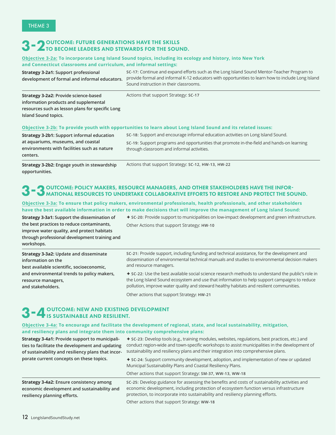### 3 - 2 OUTCOME: FUTURE GENERATIONS HAVE THE SKILLS<br>3 - 2 TO BECOME LEADERS AND STEWARDS FOR THE SOUND.

#### **Objective 3-2a: To incorporate Long Island Sound topics, including its ecology and history, into New York and Connecticut classrooms and curriculum, and informal settings:**

**Strategy 3-2a1: Support professional development of formal and informal educators.** Provide formal and informal K-12 educators with opportunities to learn how to include Long Island **SC-17:** Continue and expand efforts such as the Long Island Sound Mentor-Teacher Program to Sound instruction in their classrooms.

**Strategy 3-2a2: Provide science-based information products and supplemental resources such as lesson plans for specific Long Island Sound topics.**

Actions that support Strategy: **SC-17**

#### **Objective 3-2b: To provide youth with opportunities to learn about Long Island Sound and its related issues:**

| <b>Strategy 3-2b1: Support informal education</b> | sc-18: Support and encourage informal education activities on Long Island Sound.          |
|---------------------------------------------------|-------------------------------------------------------------------------------------------|
| at aquariums, museums, and coastal                | sc-19: Support programs and opportunities that promote in-the-field and hands-on learning |
| environments with facilities such as nature       | through classroom and informal activities.                                                |
| centers.                                          |                                                                                           |

**Strategy 3-2b2: Engage youth in stewardship opportunities.**

Actions that support Strategy: **SC-12, HW-13, HW-22**

#### 3-3OUTCOME: POLICY MAKERS, RESOURCE MANAGERS, AND OTHER STAKEHOLDERS HAVE THE INFOR-MATIONAL RESOURCES TO UNDERTAKE COLLABORATIVE EFFORTS TO RESTORE AND PROTECT THE SOUND.

#### **Objective 3-3a: To ensure that policy makers, environmental professionals, health professionals, and other stakeholders have the best available information in order to make decisions that will improve the management of Long Island Sound:**

**Strategy 3-3a1: Support the dissemination of the best practices to reduce contaminants, improve water quality, and protect habitats through professional development training and workshops.**

è **SC-20:** Provide support to municipalities on low-impact development and green infrastructure.

Other Actions that support Strategy: **HW-10**

| Strategy 3-3a2: Update and disseminate<br>information on the<br>best available scientific, socioeconomic, | sc-21: Provide support, including funding and technical assistance, for the development and<br>dissemination of environmental technical manuals and studies to environmental decision makers<br>and resource managers. |
|-----------------------------------------------------------------------------------------------------------|------------------------------------------------------------------------------------------------------------------------------------------------------------------------------------------------------------------------|
| and environmental trends to policy makers,                                                                | ◆ SC-22: Use the best available social science research methods to understand the public's role in                                                                                                                     |
| resource managers,<br>and stakeholders.                                                                   | the Long Island Sound ecosystem and use that information to help support campaigns to reduce<br>pollution, improve water quality and steward healthy habitats and resilient communities.                               |
|                                                                                                           |                                                                                                                                                                                                                        |

Other actions that support Strategy**: HW-21**

### 3 - 4 OUTCOME: NEW AND EXISTING DEVELOPMENT<br>3 - 4 IS SUSTAINABLE AND RESILIENT.

#### **Objective 3-4a: To encourage and facilitate the development of regional, state, and local sustainability, mitigation, and resiliency plans and integrate them into community comprehensive plans:**

| <b>Strategy 3-4a1: Provide support to municipali-</b><br>ties to facilitate the development and updating<br>of sustainability and resiliency plans that incor-<br>porate current concepts on these topics. | <b>★ SC-23:</b> Develop tools (e.g., training modules, websites, regulations, best practices, etc.) and<br>conduct region-wide and town-specific workshops to assist municipalities in the development of<br>sustainability and resiliency plans and their integration into comprehensive plans. |
|------------------------------------------------------------------------------------------------------------------------------------------------------------------------------------------------------------|--------------------------------------------------------------------------------------------------------------------------------------------------------------------------------------------------------------------------------------------------------------------------------------------------|
|                                                                                                                                                                                                            | <b>★ SC-24:</b> Support community development, adoption, and implementation of new or updated<br>Municipal Sustainability Plans and Coastal Resiliency Plans.                                                                                                                                    |
|                                                                                                                                                                                                            | Other actions that support Strategy: SM-37, WW-13, WW-18                                                                                                                                                                                                                                         |
| Strategy 3-4a2: Ensure consistency among<br>economic development and sustainability and<br>resiliency planning efforts.                                                                                    | SC-25: Develop guidance for assessing the benefits and costs of sustainability activities and<br>economic development, including protection of ecosystem function versus infrastructure<br>protection, to incorporate into sustainability and resiliency planning efforts.                       |
|                                                                                                                                                                                                            | Other actions that support Strategy: WW-18                                                                                                                                                                                                                                                       |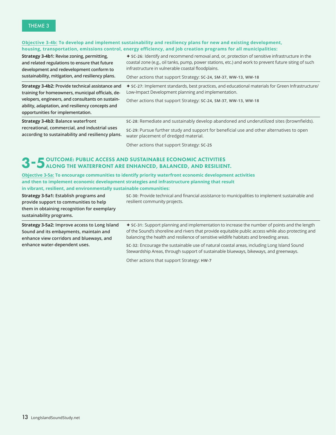#### **Objective 3-4b: To develop and implement sustainability and resiliency plans for new and existing development, housing, transportation, emissions control, energy efficiency, and job creation programs for all municipalities:**

**Strategy 3-4b1: Revise zoning, permitting, and related regulations to ensure that future development and redevelopment conform to sustainability, mitigation, and resiliency plans.** è **SC-26:** Identify and recommend removal and, or, protection of sensitive infrastructure in the coastal zone (e.g., oil tanks, pump, power stations, etc.) and work to prevent future siting of such infrastructure in vulnerable coastal floodplains.

è **SC-27:** Implement standards, best practices, and educational materials for Green Infrastructure/

Other actions that support Strategy: **SC-24, SM-37, WW-13, WW-18**

Other actions that support Strategy: **SC-24, SM-37, WW-13, WW-18**

Low-Impact Development planning and implementation.

**Strategy 3-4b2: Provide technical assistance and training for homeowners, municipal officials, developers, engineers, and consultants on sustainability, adaptation, and resiliency concepts and opportunities for implementation.**

**Strategy 3-4b3: Balance waterfront recreational, commercial, and industrial uses according to sustainability and resiliency plans.** **SC-28:** Remediate and sustainably develop abandoned and underutilized sites (brownfields).

**SC-29:** Pursue further study and support for beneficial use and other alternatives to open water placement of dredged material.

Other actions that support Strategy: **SC-25**

### 3 - 5 OUTCOME: PUBLIC ACCESS AND SUSTAINABLE ECONOMIC ACTIVITIES<br>3 - 5 ALONG THE WATERFRONT ARE ENHANCED, BALANCED, AND RESILIENT.

**Objective 3-5a: To encourage communities to identify priority waterfront economic development activities and then to implement economic development strategies and infrastructure planning that result in vibrant, resilient, and environmentally sustainable communities:**

| Strategy 3-5a1: Establish programs and<br>provide support to communities to help<br>them in obtaining recognition for exemplary<br>sustainability programs. | SC-30: Provide technical and financial assistance to municipalities to implement sustainable and<br>resilient community projects.                                                                                                                                                                   |
|-------------------------------------------------------------------------------------------------------------------------------------------------------------|-----------------------------------------------------------------------------------------------------------------------------------------------------------------------------------------------------------------------------------------------------------------------------------------------------|
| <b>Strategy 3-5a2: Improve access to Long Island</b><br>Sound and its embayments, maintain and<br>enhance view corridors and blueways, and                  | <b>★ SC-31:</b> Support planning and implementation to increase the number of points and the length<br>of the Sound's shoreline and rivers that provide equitable public access while also protecting and<br>balancing the health and resilience of sensitive wildlife habitats and breeding areas. |
| enhance water-dependent uses.                                                                                                                               | SC-32: Encourage the sustainable use of natural coastal areas, including Long Island Sound<br>Stewardship Areas, through support of sustainable blueways, bikeways, and greenways.                                                                                                                  |

Other actions that support Strategy: **HW-7**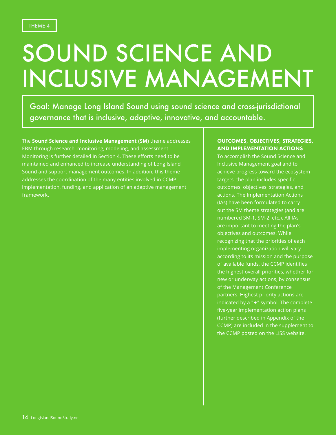# SOUND SCIENCE AND INCLUSIVE MANAGEMENT

Goal: Manage Long Island Sound using sound science and cross-jurisdictional governance that is inclusive, adaptive, innovative, and accountable.

The **Sound Science and Inclusive Management (SM)** theme addresses EBM through research, monitoring, modeling, and assessment. Monitoring is further detailed in Section 4. These efforts need to be maintained and enhanced to increase understanding of Long Island Sound and support management outcomes. In addition, this theme addresses the coordination of the many entities involved in CCMP implementation, funding, and application of an adaptive management framework.

#### OUTCOMES, OBJECTIVES, STRATEGIES, AND IMPLEMENTATION ACTIONS

To accomplish the Sound Science and Inclusive Management goal and to achieve progress toward the ecosystem targets, the plan includes specific outcomes, objectives, strategies, and actions. The Implementation Actions (IAs) have been formulated to carry out the SM theme strategies (and are numbered SM-1, SM-2, etc.). All IAs are important to meeting the plan's objectives and outcomes. While recognizing that the priorities of each implementing organization will vary according to its mission and the purpose of available funds, the CCMP identifies the highest overall priorities, whether for new or underway actions, by consensus of the Management Conference partners. Highest priority actions are indicated by a " $\leftrightarrow$ " symbol. The complete five-year implementation action plans (further described in Appendix of the CCMP) are included in the supplement to the CCMP posted on the LISS website.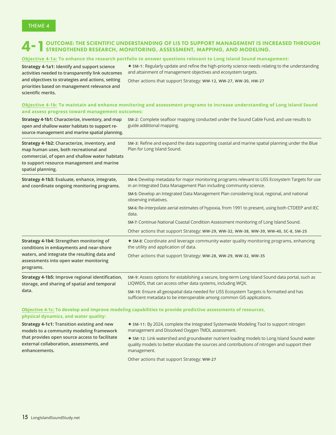### 4 TOUTCOME: THE SCIENTIFIC UNDERSTANDING OF LIS TO SUPPORT MANAGEMENT IS INCREASED THROUGH STRENGTHENED RESEARCH, MONITORING, ASSESSMENT, MAPPING, AND MODELING.

#### **Objective 4-1a: To enhance the research portfolio to answer questions relevant to Long Island Sound management:**

**Strategy 4-1a1: Identify and support science activities needed to transparently link outcomes and objectives to strategies and actions, setting priorities based on management relevance and scientific merits.**

è **SM-1:** Regularly update and refine the high-priority science needs relating to the understanding and attainment of management objectives and ecosystem targets.

Other actions that support Strategy: **WW-12, WW-27, WW-30, HW-27**

#### **Objective 4-1b: To maintain and enhance monitoring and assessment programs to increase understanding of Long Island Sound and assess progress toward management outcomes:**

| Strategy 4-1b1: Characterize, inventory, and map<br>open and shallow water habitats to support re-<br>source management and marine spatial planning.                                                      | SM-2: Complete seafloor mapping conducted under the Sound Cable Fund, and use results to<br>guide additional mapping.                                                 |
|-----------------------------------------------------------------------------------------------------------------------------------------------------------------------------------------------------------|-----------------------------------------------------------------------------------------------------------------------------------------------------------------------|
| Strategy 4-1b2: Characterize, inventory, and<br>map human uses, both recreational and<br>commercial, of open and shallow water habitats<br>to support resource management and marine<br>spatial planning. | SM-3: Refine and expand the data supporting coastal and marine spatial planning under the Blue<br>Plan for Long Island Sound.                                         |
| Strategy 4-1b3: Evaluate, enhance, integrate,<br>and coordinate ongoing monitoring programs.                                                                                                              | SM-4: Develop metadata for major monitoring programs relevant to LISS Ecosystem Targets for use<br>in an Integrated Data Management Plan including community science. |
|                                                                                                                                                                                                           | SM-5: Develop an Integrated Data Management Plan considering local, regional, and national<br>observing initiatives.                                                  |
|                                                                                                                                                                                                           | SM-6: Re-interpolate aerial estimates of hypoxia, from 1991 to present, using both CTDEEP and IEC<br>data.                                                            |
|                                                                                                                                                                                                           | SM-7: Continue National Coastal Condition Assessment monitoring of Long Island Sound.                                                                                 |
|                                                                                                                                                                                                           | Other actions that support Strategy: WW-29, WW-32, WW-38, WW-39, WW-40, SC-8, SM-25                                                                                   |
| Strategy 4-1b4: Strengthen monitoring of<br>conditions in embayments and near-shore<br>waters, and integrate the resulting data and<br>assessments into open water monitoring<br>programs.                | ◆ SM-8: Coordinate and leverage community water quality monitoring programs, enhancing<br>the utility and application of data.                                        |
|                                                                                                                                                                                                           | Other actions that support Strategy: WW-28, WW-29, WW-32, WW-35                                                                                                       |
| Strategy 4-1b5: Improve regional identification,<br>storage, and sharing of spatial and temporal<br>data.                                                                                                 | SM-9: Assess options for establishing a secure, long-term Long Island Sound data portal, such as<br>LIQWIDS, that can access other data systems, including WQX.       |
|                                                                                                                                                                                                           | SM-10: Ensure all geospatial data needed for LISS Ecosystem Targets is formatted and has<br>sufficient metadata to be interoperable among common GIS applications.    |

**Objective 4-1c: To develop and improve modeling capabilities to provide predictive assessments of resources, physical dynamics, and water quality:**

**Strategy 4-1c1: Transition existing and new models to a community modeling framework that provides open source access to facilitate external collaboration, assessments, and enhancements.**

è **SM-11:** By 2024, complete the Integrated Systemwide Modeling Tool to support nitrogen management and Dissolved Oxygen TMDL assessment.

è **SM-12:** Link watershed and groundwater nutrient loading models to Long Island Sound water quality models to better elucidate the sources and contributions of nitrogen and support their management.

Other actions that support Strategy: **WW-27**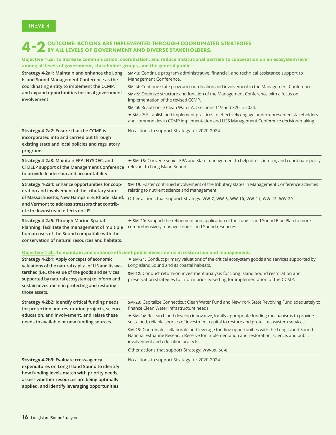### 4 – 2 OUTCOME: ACTIONS ARE IMPLEMENTED THROUGH COORDINATED STRATEGIES<br> **4 – 2** BY ALL LEVELS OF GOVERNMENT AND DIVERSE STAKEHOLDERS.

| Objective 4-2a: To increase communication, coordination, and reduce institutional barriers to cooperation on an ecosystem level<br>among all levels of government, stakeholder groups, and the general public:                                                                |                                                                                                                                                                                                                                                                                                                                                                                                                                                                                                                                                                                                                                      |  |
|-------------------------------------------------------------------------------------------------------------------------------------------------------------------------------------------------------------------------------------------------------------------------------|--------------------------------------------------------------------------------------------------------------------------------------------------------------------------------------------------------------------------------------------------------------------------------------------------------------------------------------------------------------------------------------------------------------------------------------------------------------------------------------------------------------------------------------------------------------------------------------------------------------------------------------|--|
| Strategy 4-2a1: Maintain and enhance the Long<br>Island Sound Management Conference as the<br>coordinating entity to implement the CCMP,<br>and expand opportunities for local government<br>involvement.                                                                     | SM-13: Continue program administrative, financial, and technical assistance support to<br>Management Conference.<br>SM-14: Continue state program coordination and involvement in the Management Conference.<br>SM-15: Optimize structure and function of the Management Conference with a focus on<br>implementation of the revised CCMP.<br>SM-16: Reauthorize Clean Water Act sections 119 and 320 in 2024.<br>◆ SM-17: Establish and implement practices to effectively engage underrepresented stakeholders<br>and communities in CCMP implementation and LISS Management Conference decision-making.                           |  |
| Strategy 4-2a2: Ensure that the CCMP is<br>incorporated into and carried out through<br>existing state and local policies and regulatory<br>programs.                                                                                                                         | No actions to support Strategy for 2020-2024                                                                                                                                                                                                                                                                                                                                                                                                                                                                                                                                                                                         |  |
| Strategy 4-2a3: Maintain EPA, NYSDEC, and<br><b>CTDEEP support of the Management Conference</b><br>to provide leadership and accountability.                                                                                                                                  | ◆ SM-18: Convene senior EPA and State management to help direct, inform, and coordinate policy<br>relevant to Long Island Sound.                                                                                                                                                                                                                                                                                                                                                                                                                                                                                                     |  |
| Strategy 4-2a4: Enhance opportunities for coop-<br>eration and involvement of the tributary states<br>of Massachusetts, New Hampshire, Rhode Island,<br>and Vermont to address stressors that contrib-<br>ute to downstream effects on LIS.                                   | SM-19: Foster continued involvement of the tributary states in Management Conference activities<br>relating to nutrient science and management.<br>Other actions that support Strategy: WW-7, WW-8, WW-10, WW-11, WW-12, WW-29                                                                                                                                                                                                                                                                                                                                                                                                       |  |
| <b>Strategy 4-2a5: Through Marine Spatial</b><br>Planning, facilitate the management of multiple<br>human uses of the Sound compatible with the<br>conservation of natural resources and habitats.                                                                            | ◆ SM-20: Support the refinement and application of the Long Island Sound Blue Plan to more<br>comprehensively manage Long Island Sound resources.                                                                                                                                                                                                                                                                                                                                                                                                                                                                                    |  |
| Strategy 4-2b1: Apply concepts of economic<br>valuations of the natural capital of LIS and its wa-<br>tershed (i.e., the value of the goods and services<br>supported by natural ecosystems) to inform and<br>sustain investment in protecting and restoring<br>those assets. | Objective 4-2b: To maintain and enhance efficient public investments in restoration and management:<br>◆ SM-21: Conduct primary valuations of the critical ecosystem goods and services supported by<br>Long Island Sound and its coastal habitats.<br>SM-22: Conduct return-on investment analysis for Long Island Sound restoration and<br>preservation strategies to inform priority-setting for implementation of the CCMP.                                                                                                                                                                                                      |  |
| Strategy 4-2b2: Identify critical funding needs<br>for protection and restoration projects, science,<br>education, and involvement, and relate these<br>needs to available or new funding sources.                                                                            | SM-23: Capitalize Connecticut Clean Water Fund and New York State Revolving Fund adequately to<br>finance Clean Water infrastructure needs.<br>◆ SM-24: Research and develop innovative, locally appropriate funding mechanisms to provide<br>sustained, reliable sources of investment capital to restore and protect ecosystem services.<br>SM-25: Coordinate, collaborate and leverage funding opportunities with the Long Island Sound<br>National Estuarine Research Reserve for implementation and restoration, science, and public<br>involvement and education projects.<br>Other actions that support Strategy: WW-39, SC-8 |  |
| Strategy 4-2b3: Evaluate cross-agency<br>expenditures on Long Island Sound to identify<br>how funding levels match with priority needs,<br>assess whether resources are being optimally<br>applied, and identify leveraging opportunities.                                    | No actions to support Strategy for 2020-2024                                                                                                                                                                                                                                                                                                                                                                                                                                                                                                                                                                                         |  |